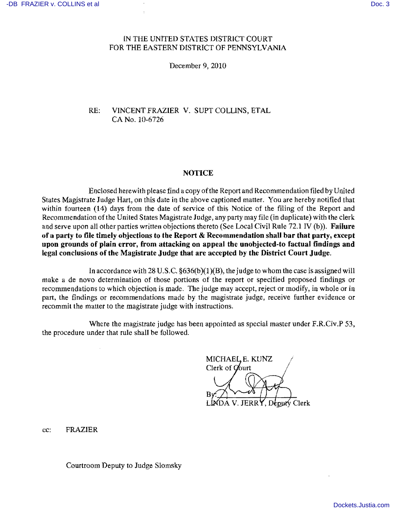## IN THE UNITED STATES DISTRICT COURT FOR THE EASTERN DISTRICT OF PENNSYLVANIA

December 9, 2010

RE: VINCENT FRAZIER V. SUPT COLUNS, ETAL CA No. 10-6726

### NOTICE

Enclosed herewith please find a copy ofthe Report and Recommendation filed by United States Magistrate Judge Hart, on this date in the above captioned matter. You are hereby notified that within fourteen (14) days from the date of service of this Notice of the filing of the Report and Recommendation of the United States Magistrate Judge, any party may file (in duplicate) with the clerk and serve upon all other parties written objections thereto (See Local Civil Rule 72.1 IV (b)). Failure of a party to file timely objections to the Report  $\&$  Recommendation shall bar that party, except upon grounds of plain error, from attacking on appeal the unobjected-to factual findings and legal conclusions of the Magistrate Judge that are accepted by the District Court Judge.

In accordance with 28 U.S.c. §636(b)(1 )(B), the judge to whom the case is assigned will make a de novo determination of those portions of the report or specified proposed findings or recommendations to which objection is made. The judge may accept, reject or modify, in whole or in part, the findings or recommendations made by the magistrate judge, receive further evidence or recommit the matter to the magistrate judge with instructions.

Where the magistrate judge has been appointed as special master under F.R.Civ.P 53, the procedure under that rule shall be followed.

MICHAEL, E. KUNZ Clerk of Court LINDA V. JERRY, Deputy Clerk

cc: FRAZIER

Courtroom Deputy to Judge Siomsky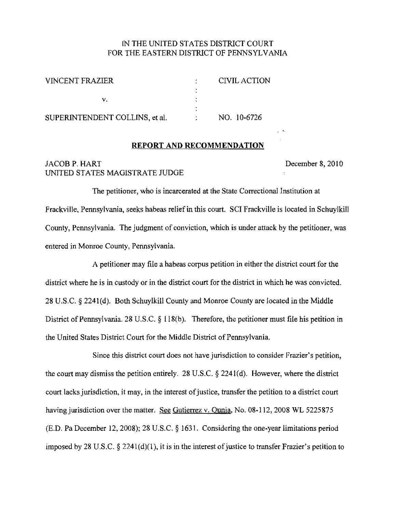## IN THE UNITED STATES DISTRICT COURT FOR THE EASTERN DISTRICT OF PENNSYLVANIA

| <b>VINCENT FRAZIER</b>         | <b>CIVIL ACTION</b> |
|--------------------------------|---------------------|
|                                |                     |
|                                |                     |
|                                |                     |
| SUPERINTENDENT COLLINS, et al. | NO. 10-6726         |

## **REPORT AND RECOMMENDATION**

## JACOB P. HART December 8, 2010 UNITED STATES MAGISTRATE JUDGE

 $\frac{1}{2}$  . Let

The petitioner, who is incarcerated at the State Correctional Instimtion at Frackville, Pennsylvania, seeks habeas relief in this court. SCI Frackville is located in Schuylkill County, Pennsylvania. The judgment of conviction, which is under attack by the petitioner, was entered in Monroe County, Pennsylvania.

A petitioner may file a habeas corpus petition in either the district court for the district where he is in custody or in the district court for the district in which he was convicted. 28 U.S.C. § 2241 (d). Both Schuylkill County and Monroe County are located in the Middle District of Pennsylvania. 28 U.S.C. § 118(b). Therefore, the petitioner must file his petition in the United States District Court for the Middle District of Pennsylvania.

Since this district court does not have jurisdiction to consider Frazier's petition, the court may dismiss the petition entirely. 28 U.S.C. § 2241(d). However, where the district court lacks jurisdiction, it may, in the interest of justice, transfer the petition to a district court having jurisdiction over the matter. See Gutierrez v. Qunja, No. 08-112, 2008 WL 5225875 (E.D. Pa December 12,2008); 28 U.S.C. § 1631. Considering the one-year limitations period imposed by 28 U.S.C.  $\S$  2241(d)(1), it is in the interest of justice to transfer Frazier's petition to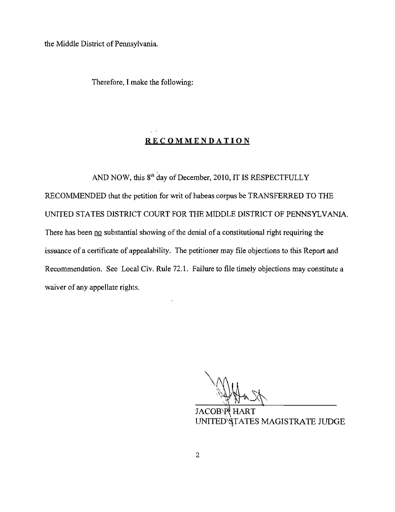the Middle District of Pennsylvania.

Therefore, I make the following:

# **RECOMMENDATION**

AND NOW, this  $8<sup>th</sup>$  day of December, 2010, IT IS RESPECTFULLY RECOMMENDED that the petition for writ of habeas corpus be TRANSFERRED **TO THE**  UNITED STATES DISTRlCT COURT FOR THE MIDDLE DISTRlCT OF PENNSYLVANIA. There has been no substantial showing of the denial of a constitutional right requiring the issuance of a certificate of appealability. The petitioner may file objections to this Report and Recommendation. See Local Civ. Rule 72.1. Failure to file timely objections may constitute a waiver of any appellate rights.

JACOB'P HART UNITED STATES MAGISTRATE JUDGE